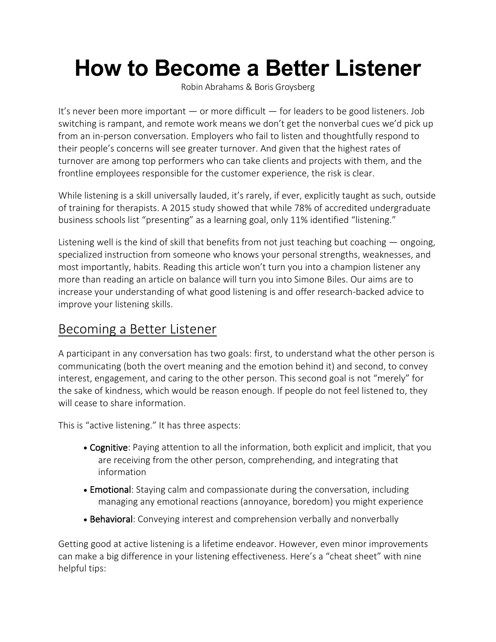# **How to Become a Better Listener**

[Robin Abrahams](https://hbr.org/search?term=robin%20abrahams) & [Boris Groysberg](https://hbr.org/search?term=boris%20groysberg)

It's never been more important — or more difficult — for leaders to be good listeners. Job switching is rampant, and remote work means we don't get the nonverbal cues we'd pick up from an in-person conversation. Employers who fail to listen and thoughtfully respond to their people's concerns will see greater turnover. And given that the highest rates of turnover are among top performers who can take clients and projects with them, and the frontline employees responsible for the customer experience, the risk is clear.

While listening is a skill universally lauded, it's rarely, if ever, explicitly taught as such, outside of training for therapists. A [2015 study](https://journals.aom.org/doi/abs/10.5465/amle.2013.0044) showed that while 78% of accredited undergraduate business schools list "presenting" as a learning goal, only 11% identified "listening."

Listening well is the kind of skill that benefits from not just teaching but coaching — ongoing, specialized instruction from someone who knows your personal strengths, weaknesses, and most importantly, habits. Reading this article won't turn you into a champion listener any more than reading an article on balance will turn you into Simone Biles. Our aims are to increase your understanding of what good listening is and offer research-backed advice to improve your listening skills.

# Becoming a Better Listener

A participant in any conversation has two goals: first, to understand what the other person is communicating (both the overt meaning and the emotion behind it) and second, to convey interest, engagement, and caring to the other person. This second goal is not "merely" for the sake of kindness, which would be reason enough. If people do not feel listened to, they will cease to share information.

This is "active listening." It has [three aspects:](https://journals.sagepub.com/doi/abs/10.1177/0093650215626983)

- Cognitive: Paying attention to all the information, both explicit and implicit, that you are receiving from the other person, comprehending, and integrating that information
- Emotional: Staying calm and compassionate during the conversation, including managing any emotional reactions (annoyance, boredom) you might experience
- Behavioral: Conveying interest and comprehension verbally and nonverbally

Getting good at active listening is a lifetime endeavor. However, even minor improvements can make a big difference in your listening effectiveness. Here's a "cheat sheet" with nine helpful tips: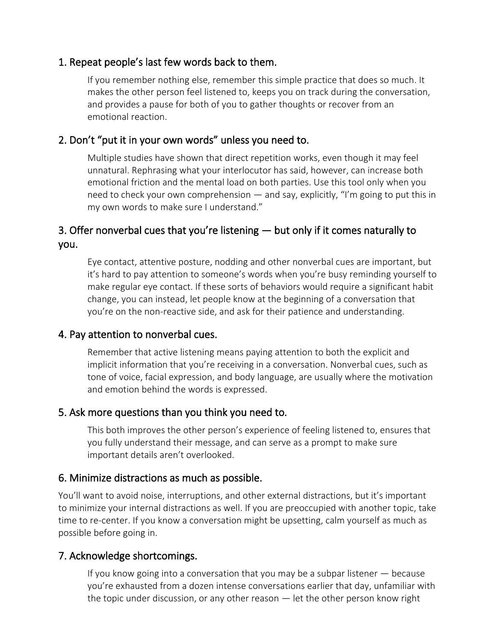#### 1. Repeat people's last few words back to them.

If you remember nothing else, remember [this simple practice that does so much.](https://journals.sagepub.com/doi/abs/10.1177/1052562917748696?journalCode=jmed) It makes the other person feel listened to, keeps you on track during the conversation, and provides a pause for both of you to gather thoughts or recover from an emotional reaction.

#### 2. Don't "put it in your own words" unless you need to.

[Multiple studies have shown](https://pubmed.ncbi.nlm.nih.gov/27151897/) that direct repetition works, even though it may feel unnatural. Rephrasing what your interlocutor has said, however, can increase both emotional friction and the mental load on both parties. Use this tool only when you need to check your own comprehension — and say, explicitly, "I'm going to put this in my own words to make sure I understand."

## 3. Offer nonverbal cues that you're listening — but only if it comes naturally to you.

Eye contact, attentive posture, nodding and other nonverbal cues are important, but it's hard to pay attention to someone's words when you're busy reminding yourself to make regular eye contact. If these sorts of behaviors would require a significant habit change, you can instead, let people know at the beginning of a conversation that you're on the non-reactive side, and ask for their patience and understanding.

#### 4. Pay attention to nonverbal cues.

Remember that active listening means paying attention to both the explicit and implicit information that you're receiving in a conversation. Nonverbal cues, such as tone of voice, facial expression, and body language, are usually where the motivation and emotion behind the words is expressed.

#### 5. Ask more questions than you think you need to*.*

This both improves the other person's experience of feeling listened to, ensures that you fully understand their message, and can serve as a prompt to make sure important details aren't overlooked.

#### 6. Minimize distractions as much as possible.

You'll want to avoid noise, interruptions, and other external distractions, but it's important to minimize your internal distractions as well. If you are preoccupied with another topic, [take](https://hbr.org/2020/03/why-leaders-need-meditation-now-more-than-ever)  [time to re-center.](https://hbr.org/2020/03/why-leaders-need-meditation-now-more-than-ever) If you know a conversation might be upsetting, calm yourself as much as possible before going in.

#### 7. Acknowledge shortcomings.

If you know going into a conversation that you may be a subpar listener — because you're exhausted from a dozen intense conversations earlier that day, unfamiliar with the topic under discussion, or any other reason — let the other person know right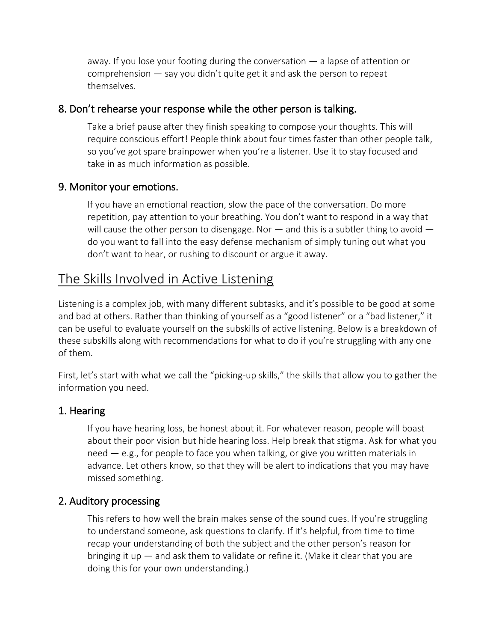away. If you lose your footing during the conversation — a lapse of attention or comprehension — say you didn't quite get it and ask the person to repeat themselves.

#### 8. Don't rehearse your response while the other person is talking.

Take a brief pause after they finish speaking to compose your thoughts. This will require conscious effort! [People think about four times faster than other people talk,](https://journals.sagepub.com/doi/abs/10.1177/1052562917748696?journalCode=jmed) so you've got spare brainpower when you're a listener. Use it to stay focused and take in as much information as possible.

#### 9. Monitor your emotions.

If you have an emotional reaction, slow the pace of the conversation. Do more repetition, pay attention to your breathing. You don't want to respond in a way that will cause the other person to disengage. Nor  $-$  and this is a subtler thing to avoid  $$ do you want to fall into [the easy defense mechanism](https://journals.sagepub.com/doi/abs/10.1177/0093650215626983) of simply tuning out what you don't want to hear, or [rushing to discount or argue it away.](https://journals.sagepub.com/doi/abs/10.1177/1052562917748696?journalCode=jmed)

## The Skills Involved in Active Listening

Listening is a complex job, with many different subtasks, and it's possible to be good at some and bad at others. Rather than thinking of yourself as a "good listener" or a "bad listener," it can be useful to evaluate yourself on the subskills of active listening. Below is a breakdown of these subskills along with recommendations for what to do if you're struggling with any one of them.

First, let's start with what we call the "picking-up skills," the skills that allow you to gather the information you need.

#### 1. Hearing

If you have hearing loss, be honest about it. For whatever reason, people will boast about their poor vision but hide hearing loss. Help break that stigma. Ask for what you need — e.g., for people to face you when talking, or give you written materials in advance. Let others know, so that they will be alert to indications that you may have missed something.

#### 2. Auditory processing

This refers to how well the brain makes sense of the sound cues. If you're struggling to understand someone, ask questions to clarify. If it's helpful, from time to time recap your understanding of both the subject and the other person's reason for bringing it up — and ask them to validate or refine it. (Make it clear that you are doing this for your own understanding.)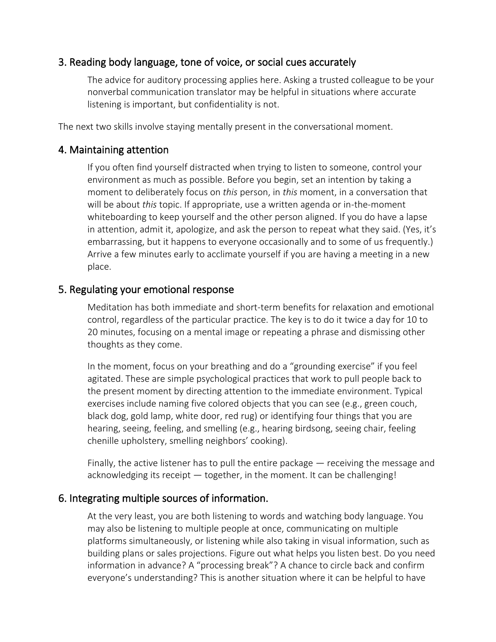#### 3. Reading body language, tone of voice, or social cues accurately

The advice for auditory processing applies here. Asking a trusted colleague to be your nonverbal communication translator may be helpful in situations where accurate listening is important, but confidentiality is not.

The next two skills involve staying mentally present in the conversational moment.

#### 4. Maintaining attention

If you often find yourself distracted when trying to listen to someone, control your environment as much as possible. Before you begin, set an intention by taking a moment to deliberately focus on *this* person, in *this* moment, in a conversation that will be about *this* topic. If appropriate, use a written agenda or in-the-moment whiteboarding to keep yourself and the other person aligned. If you do have a lapse in attention, admit it, apologize, and ask the person to repeat what they said. (Yes, it's embarrassing, but it happens to everyone occasionally and to some of us frequently.) Arrive a few minutes early to acclimate yourself if you are having a meeting in a new place.

#### 5. Regulating your emotional response

Meditation has both immediate and short-term benefits for relaxation and emotional control, regardless of the particular practice. The key is to do it [twice a day for 10 to](https://bensonhenryinstitute.org/mission-history/)  [20 minutes,](https://bensonhenryinstitute.org/mission-history/) focusing on a mental image or repeating a phrase and dismissing other thoughts as they come.

In the moment, focus on your breathing and do a "grounding exercise" if you feel agitated. These are simple psychological practices that work to pull people back to the present moment by [directing attention to the immediate environment.](https://journals.sagepub.com/doi/abs/10.1177/0093650215626983) Typical exercises include naming five colored objects that you can see (e.g., green couch, black dog, gold lamp, white door, red rug) or identifying four things that you are hearing, seeing, feeling, and smelling (e.g., hearing birdsong, seeing chair, feeling chenille upholstery, smelling neighbors' cooking).

Finally, the active listener has to pull the entire package — receiving the message and acknowledging its receipt — together, in the moment. It can be challenging!

#### 6. Integrating multiple sources of information.

At the very least, you are both listening to words and watching body language. You may also be listening to multiple people at once, communicating on multiple platforms simultaneously, or listening while also taking in visual information, such as building plans or sales projections. Figure out what helps you listen best. Do you need information in advance? A "processing break"? A chance to circle back and confirm everyone's understanding? This is another situation where it can be helpful to have